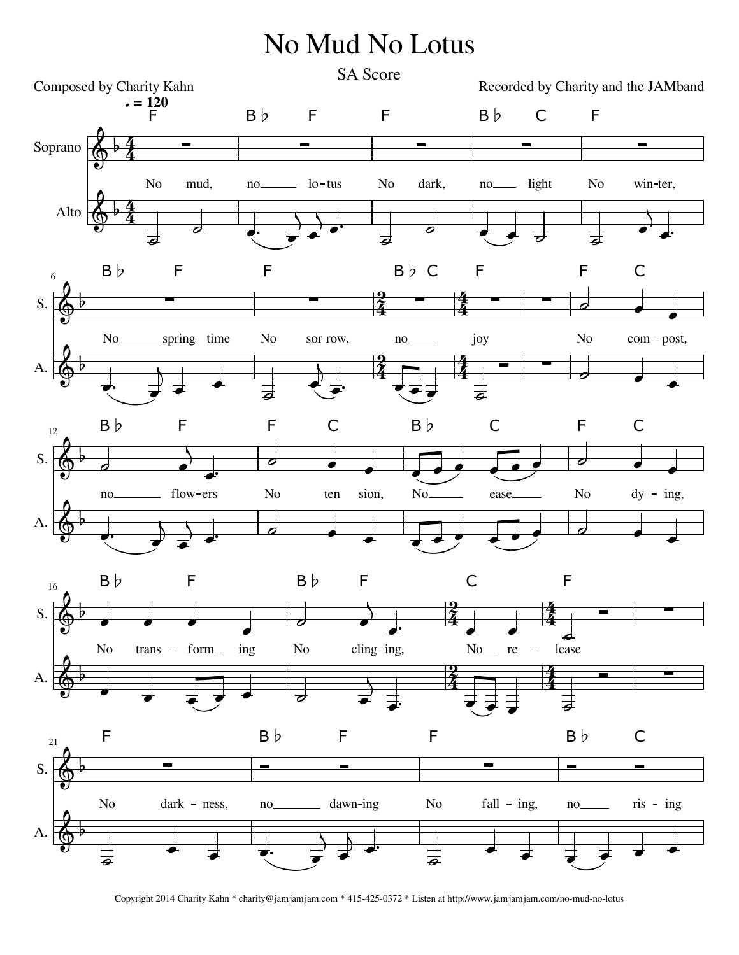## No Mud No Lotus



Copyright 2014 Charity Kahn \* charity@jamjamjam.com \* 415-425-0372 \* Listen at http://www.jamjamjam.com/no-mud-no-lotus